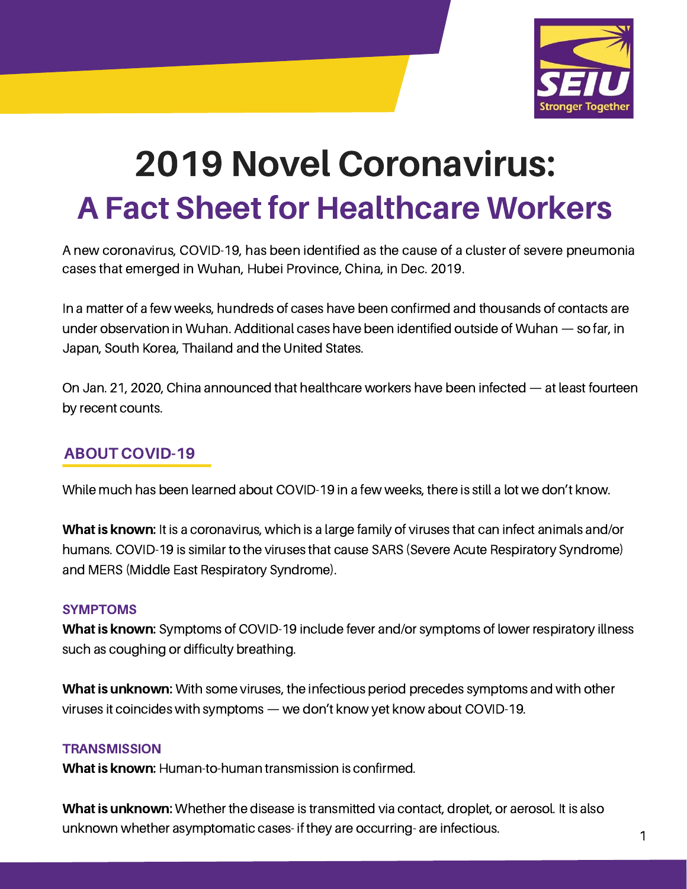

# 2019 Novel Coronavirus: A Fact Sheet for Healthcare Workers

A new coronavirus, COVID-19, has been identified as the cause of a cluster of severe pneumonia cases that emerged in Wuhan, Hubei Province, China, in Dec. 2019.

In a matter of a few weeks, hundreds of cases have been confirmed and thousands of contacts are under observation in Wuhan. Additional cases have been identified outside of Wuhan — so far, in Japan, South Korea, Thailand and the United States.

On Jan. 21, 2020, China announced that healthcare workers have been infected — at least fourteen by recent counts.

## ABOUT COVID-19

While much has been learned about COVID-19 in a few weeks, there is still a lot we don't know.

What is known: It is a coronavirus, which is a large family of viruses that can infect animals and/or humans. COVID-19 is similar to the viruses that cause SARS (Severe Acute Respiratory Syndrome) and MERS (Middle East Respiratory Syndrome).

#### SYMPTOMS

What is known: Symptoms of COVID-19 include fever and/or symptoms of lower respiratory illness such as coughing or difficulty breathing.

What is unknown: With some viruses, the infectious period precedes symptoms and with other viruses it coincides with symptoms — we don't know yet know about COVID-19.

#### **TRANSMISSION**

What is known: Human-to-human transmission is confirmed.

What is unknown: Whether the disease is transmitted via contact, droplet, or aerosol. It is also unknown whether asymptomatic cases- if they are occurring- are infectious.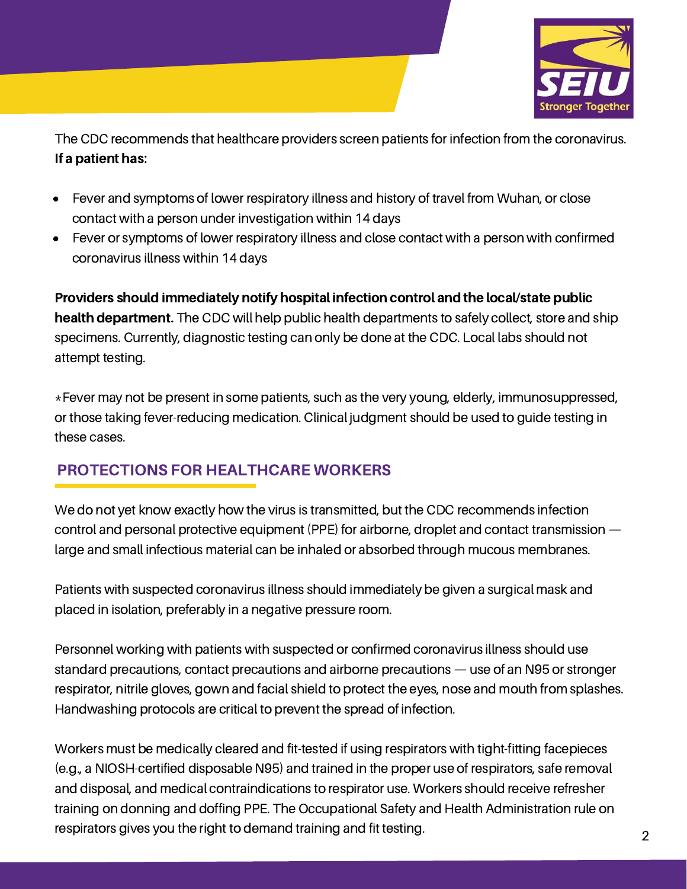

The CDC recommends that healthcare providers screen patients for infection from the coronavirus. If a patient has:

- Fever and symptoms of lower respiratory illness and history of travel from Wuhan, or close  $\bullet$ contact with a person under investigation within 14 days
- Fever or symptoms of lower respiratory illness and close contact with a person with confirmed coronavirus illness within 14 days

Providers should immediately notify hospital infection control and the local/state public health department. The CDC will help public health departments to safely collect, store and ship specimens. Currently, diagnostic testing can only be done at the CDC. Local labs should not attempt testing.

\*Fever may not be present in some patients, such as the very young, elderly, immunosuppressed, or those taking fever-reducing medication. Clinical judgment should be used to guide testing in these cases.

## PROTECTIONS FOR HEALTHCARE WORKERS

We do not yet know exactly how the virus is transmitted, but the CDC recommends infection control and personal protective equipment (PPE) for airborne, droplet and contact transmission large and small infectious material can be inhaled or absorbed through mucous membranes.

Patients with suspected coronavirus illness should immediately be given a surgical mask and placed in isolation, preferably in a negative pressure room.

Personnel working with patients with suspected or confirmed coronavirus illness should use standard precautions, contact precautions and airborne precautions — use of an N95 or stronger respirator, nitrile gloves, gown and facial shield to protect the eyes, nose and mouth from splashes. Handwashing protocols are critical to prevent the spread of infection.

Workers must be medically cleared and fit-tested if using respirators with tight-fitting facepieces (e.g., a NIOSH-certified disposable N95) and trained in the proper use of respirators, safe removal and disposal, and medical contraindications to respirator use. Workers should receive refresher training on donning and doffing PPE. The Occupational Safety and Health Administration rule on respirators gives you the right to demand training and fit testing.